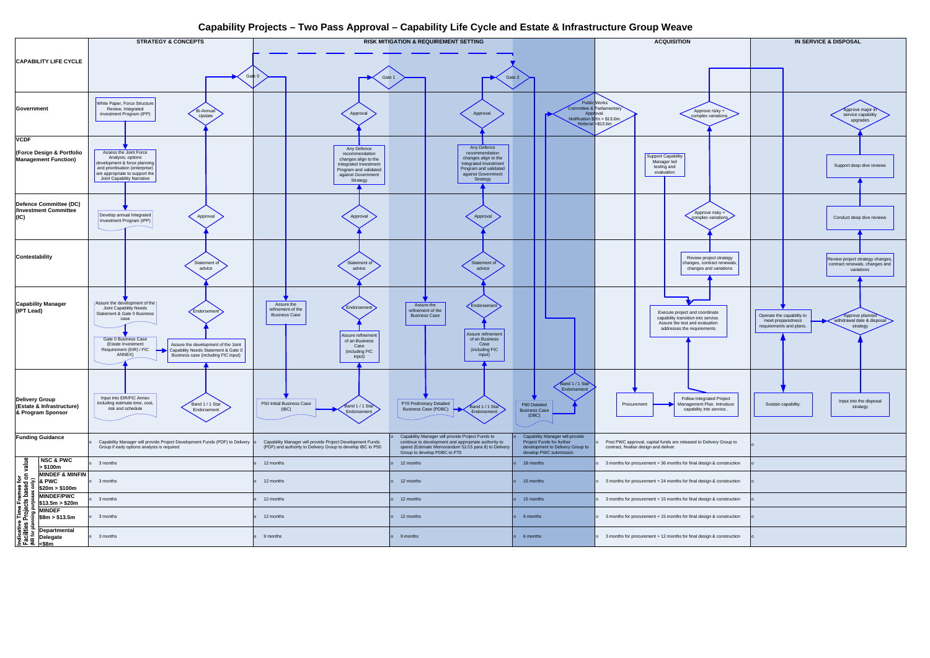## **Capability Projects – Two Pass Approval – Capability Life Cycle and Estate & Infrastructure Group Weave**

|                                                                                                                                                                                                                                                                                                                                                                                                                                                                                                           | <b>STRATEGY &amp; CONCEPTS</b>                                                                                                                                                                                                                                                                                             |                                                                                                                                                   | <b>RISK MITIGATION &amp; REQUIREMENT SETTING</b>                                                                                                                                                 |                                                                                                                            | <b>ACQUISITION</b>                                                                                                                                   | $\sf IN$                                                             |
|-----------------------------------------------------------------------------------------------------------------------------------------------------------------------------------------------------------------------------------------------------------------------------------------------------------------------------------------------------------------------------------------------------------------------------------------------------------------------------------------------------------|----------------------------------------------------------------------------------------------------------------------------------------------------------------------------------------------------------------------------------------------------------------------------------------------------------------------------|---------------------------------------------------------------------------------------------------------------------------------------------------|--------------------------------------------------------------------------------------------------------------------------------------------------------------------------------------------------|----------------------------------------------------------------------------------------------------------------------------|------------------------------------------------------------------------------------------------------------------------------------------------------|----------------------------------------------------------------------|
| <b>CAPABILITY LIFE CYCLE</b>                                                                                                                                                                                                                                                                                                                                                                                                                                                                              |                                                                                                                                                                                                                                                                                                                            | Gate 0<br>Gate 1                                                                                                                                  | Gate 2                                                                                                                                                                                           |                                                                                                                            |                                                                                                                                                      |                                                                      |
| Government                                                                                                                                                                                                                                                                                                                                                                                                                                                                                                | White Paper, Force Structure<br>Review, Integrated<br><b>Bi-Annual</b><br>investment Program (IPP)<br>Update                                                                                                                                                                                                               | Approval                                                                                                                                          | Approval                                                                                                                                                                                         |                                                                                                                            | Public Works<br>Committee & Parliamentary<br>Approve risky +<br>Approval.<br>complex variations<br>Notification \$2m > \$13.6m.<br>Referral >\$13.6m |                                                                      |
| <b>VCDF</b>                                                                                                                                                                                                                                                                                                                                                                                                                                                                                               |                                                                                                                                                                                                                                                                                                                            |                                                                                                                                                   |                                                                                                                                                                                                  |                                                                                                                            |                                                                                                                                                      |                                                                      |
| (Force Design & Portfolio<br><b>Management Function)</b>                                                                                                                                                                                                                                                                                                                                                                                                                                                  | Assess the Joint Force<br>Analysis, options<br>development & force planning<br>and prioritisation (enterprise)<br>are appropriate to support the<br>Joint Capability Narrative                                                                                                                                             | Any Defence<br>recommendation<br>changes align to the<br>Integrated Investment<br>Program and validated<br>against Government<br>Strategy         | Any Defence<br>recommendation<br>changes align to the<br>Integrated Investment<br>Program and validated<br>against Government<br>Strategy                                                        |                                                                                                                            | <b>Support Capability</b><br>Manager led<br>testing and<br>evaluation                                                                                |                                                                      |
| Defence Committee (DC)<br>/Investment Committee<br> (IC)                                                                                                                                                                                                                                                                                                                                                                                                                                                  | Develop annual Integrated<br>Approval<br>Investment Program (IPP)                                                                                                                                                                                                                                                          | Approval                                                                                                                                          | Approval                                                                                                                                                                                         |                                                                                                                            | Approve risky +<br>complex variations                                                                                                                |                                                                      |
| Contestability                                                                                                                                                                                                                                                                                                                                                                                                                                                                                            | Statement of<br>advice                                                                                                                                                                                                                                                                                                     | Statement of<br>advice                                                                                                                            | Statement of<br>advice                                                                                                                                                                           |                                                                                                                            | Review project strategy<br>changes, contract renewals,<br>changes and variations                                                                     |                                                                      |
| <b>Capability Manager</b><br>(IPT Lead)                                                                                                                                                                                                                                                                                                                                                                                                                                                                   | Assure the development of the<br>Joint Capability Needs<br>Endorsement<br>Statement & Gate 0 Business<br>case<br>Gate 0 Business Case<br>(Estate Investment<br>Assure the development of the Joint<br>Requirement (EIR) / FIC<br>Capability Needs Statement & Gate 0<br>➡<br>ANNEX)<br>Business case (including FIC input) | Assure the<br>Endorsement<br>refinement of the<br><b>Business Case</b><br>Assure refinement<br>of an Business<br>Case<br>(including FIC<br>input) | Assure the<br>Endorsement<br>refinement of the<br><b>Business Case</b><br>Assure refinement<br>of an Business<br>Case<br>(including FIC<br>input)                                                |                                                                                                                            | Execute project and coordinate<br>capability transition into service.<br>Assure the test and evaluation<br>addresses the requirements                | Operate the capability<br>meet preparedness<br>requirements and plar |
| <b>Delivery Group</b><br>(Estate & Infrastructure)<br>& Program Sponsor                                                                                                                                                                                                                                                                                                                                                                                                                                   | Input into EIR/FIC Annex<br>including estimate time, cost,<br>Band 1 / 1 Star<br>risk and schedule<br>Endorsement                                                                                                                                                                                                          | P50 Initial Business Case<br>Band 1 / 1 Star<br>(IBC)<br>Endorsement                                                                              | P70 Preliminary Detailed<br>Band 1 / 1 Star<br><b>Business Case (PDBC)</b><br>Endorsement                                                                                                        | Band 1 / 1 Star<br>Endorsement<br>P80 Detailed<br><b>Business Case</b><br>(DBC)                                            | Follow Integrated Project<br>Management Plan. Introduce<br>Procurement<br>capability into service                                                    | Sustain capability.                                                  |
|                                                                                                                                                                                                                                                                                                                                                                                                                                                                                                           |                                                                                                                                                                                                                                                                                                                            |                                                                                                                                                   |                                                                                                                                                                                                  |                                                                                                                            |                                                                                                                                                      |                                                                      |
| <b>Funding Guidance</b>                                                                                                                                                                                                                                                                                                                                                                                                                                                                                   | Capability Manager will provide Project Development Funds (PDF) to Delivery<br>Group if early options analysis is required                                                                                                                                                                                                 | Capability Manager will provide Project Development Funds<br>(PDF) and authority to Delivery Group to develop IBC to P50                          | Capability Manager will provide Project Funds to<br>continue to development and appropriate authority to<br>spend (Estimate Memorandum 51/15 para 8) to Delivery<br>Group to develop PDBC to P70 | Capability Manager will provide<br>Project Funds for further<br>development to Delivery Group to<br>develop PWC submission | Post PWC approval, capital funds are released to Delivery Group to<br>contract, finalise design and deliver.                                         |                                                                      |
| <b>NSC &amp; PWC</b><br>value<br>> \$100m                                                                                                                                                                                                                                                                                                                                                                                                                                                                 | 3 months                                                                                                                                                                                                                                                                                                                   | 12 months                                                                                                                                         | 12 months                                                                                                                                                                                        | 18 months                                                                                                                  | 3 months for procurement + 36 months for final design & construction                                                                                 |                                                                      |
| $\epsilon$<br><b>MINDEF &amp; MINFIN</b><br>& PWC<br>\$20m > \$100m                                                                                                                                                                                                                                                                                                                                                                                                                                       | 3 months                                                                                                                                                                                                                                                                                                                   | 12 months                                                                                                                                         | 12 months                                                                                                                                                                                        | 15 months                                                                                                                  | 3 months for procurement + 24 months for final design & construction                                                                                 |                                                                      |
| <b>MINDEF/PWC</b><br>\$13.5m > \$20m                                                                                                                                                                                                                                                                                                                                                                                                                                                                      | 3 months                                                                                                                                                                                                                                                                                                                   | 12 months                                                                                                                                         | 12 months                                                                                                                                                                                        | 15 months                                                                                                                  | 3 months for procurement + 15 months for final design & construction                                                                                 |                                                                      |
| <b>MINDEF</b><br>\$8m > \$13.5m                                                                                                                                                                                                                                                                                                                                                                                                                                                                           | 3 months                                                                                                                                                                                                                                                                                                                   | 12 months                                                                                                                                         | 12 months                                                                                                                                                                                        | 6 months                                                                                                                   | 3 months for procurement + 15 months for final design & construction                                                                                 |                                                                      |
| $[Indicate the frame of the image] \label{fig:2} \begin{tabular}{ l l } \hline (indicate the frame of the image) \hline \multicolumn{2}{ l }{} \multicolumn{2}{ l }{} \multicolumn{2}{ l }{} \multicolumn{2}{ l }{} \multicolumn{2}{ l }{} \multicolumn{2}{ l }{} \multicolumn{2}{ l }{} \multicolumn{2}{ l }{} \multicolumn{2}{ l }{} \multicolumn{2}{ l }{} \multicolumn{2}{ l }{} \multicolumn{2}{ l }{} \multicolumn{2}{ l }{} \multicolumn{2}{ l }{} \multicolumn{2}{ l$<br>Departmental<br>Delegate | 3 months                                                                                                                                                                                                                                                                                                                   | 9 months                                                                                                                                          | 9 months                                                                                                                                                                                         | 6 months                                                                                                                   | 3 months for procurement + 12 months for final design & construction                                                                                 |                                                                      |